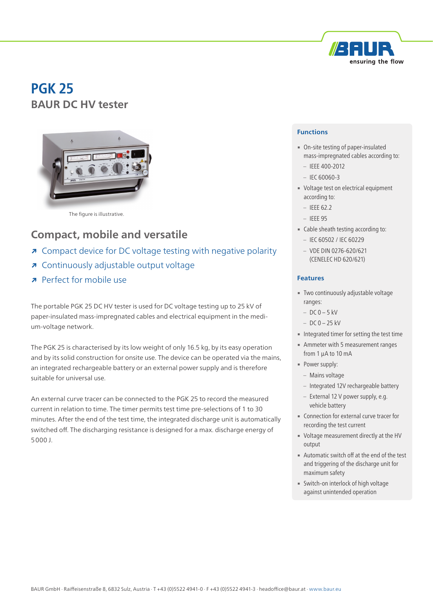

# **PGK 25 BAUR DC HV tester**



The figure is illustrative.

## **Compact, mobile and versatile**

- **↗** Compact device for DC voltage testing with negative polarity
- **↗** Continuously adjustable output voltage
- **↗** Perfect for mobile use

The portable PGK 25 DC HV tester is used for DC voltage testing up to 25 kV of paper-insulated mass-impregnated cables and electrical equipment in the medium-voltage network.

The PGK 25 is characterised by its low weight of only 16.5 kg, by its easy operation and by its solid construction for onsite use. The device can be operated via the mains, an integrated rechargeable battery or an external power supply and is therefore suitable for universal use.

An external curve tracer can be connected to the PGK 25 to record the measured current in relation to time. The timer permits test time pre-selections of 1 to 30 minutes. After the end of the test time, the integrated discharge unit is automatically switched off. The discharging resistance is designed for a max. discharge energy of 5000 J.

#### **Functions**

- On-site testing of paper-insulated mass-impregnated cables according to:
	- IEEE 400-2012
	- IEC 60060-3
- Voltage test on electrical equipment according to:
	- $-$  IFFF 62.2
	- IEEE 95
- Cable sheath testing according to:
	- IEC 60502 / IEC 60229
	- VDE DIN 0276-620/621 (CENELEC HD 620/621)

#### **Features**

- **Two continuously adjustable voltage** ranges:
	- $-$  DC 0 5 kV
	- $-$  DC 0  $-$  25 kV
- **Integrated timer for setting the test time**
- **EXECUTE:** Ammeter with 5 measurement ranges from 1 µA to 10 mA
- Power supply:
	- Mains voltage
	- Integrated 12V rechargeable battery
	- External 12 V power supply, e.g. vehicle battery
- **Connection for external curve tracer for** recording the test current
- Voltage measurement directly at the HV output
- **■** Automatic switch off at the end of the test and triggering of the discharge unit for maximum safety
- **EXECUTE: Switch-on interlock of high voltage** against unintended operation